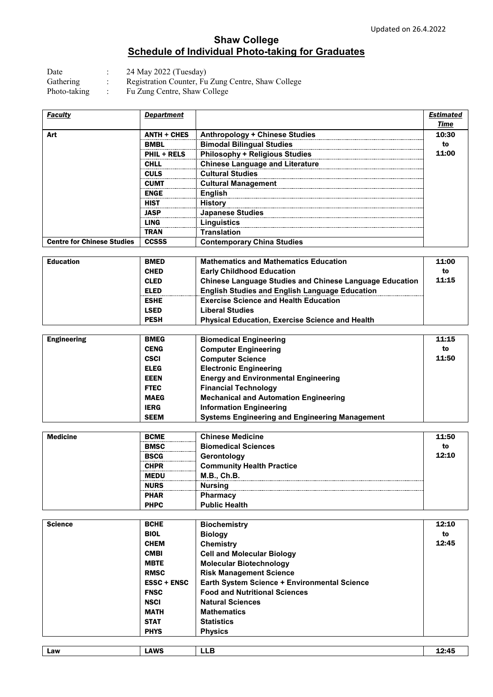## **Shaw College Schedule of Individual Photo-taking for Graduates**

Date : 24 May 2022 (Tuesday)

Gathering : Registration Counter, Fu Zung Centre, Shaw College

Photo-taking : Fu Zung Centre, Shaw College

| Faculty                           | Department         |                                        | Estimated |
|-----------------------------------|--------------------|----------------------------------------|-----------|
|                                   |                    |                                        | Time      |
| Art                               | $ANTH + CHES$      | <b>Anthropology + Chinese Studies</b>  | 10:30     |
|                                   | BMBL               | <b>Bimodal Bilingual Studies</b>       | to        |
|                                   | <b>PHIL + RELS</b> | <b>Philosophy + Religious Studies</b>  | 11:00     |
|                                   | <b>CHLL</b>        | <b>Chinese Language and Literature</b> |           |
|                                   | <b>CULS</b>        | <b>Cultural Studies</b>                |           |
|                                   | <b>CUMT</b>        | <b>Cultural Management</b>             |           |
|                                   | <b>ENGE</b>        | <b>English</b>                         |           |
|                                   | <b>HIST</b>        | <b>History</b>                         |           |
|                                   | <b>JASP</b>        | <b>Japanese Studies</b>                |           |
|                                   | LING               | Linguistics                            |           |
|                                   | <b>TRAN</b>        | <b>Translation</b>                     |           |
| <b>Centre for Chinese Studies</b> | <b>CCSSS</b>       | <b>Contemporary China Studies</b>      |           |

| <b>Education</b> | <b>BMED</b> | <b>Mathematics and Mathematics Education</b>                   | 11:00 |
|------------------|-------------|----------------------------------------------------------------|-------|
|                  | <b>CHED</b> | <b>Early Childhood Education</b>                               | to    |
|                  | <b>CLED</b> | <b>Chinese Language Studies and Chinese Language Education</b> | 11:15 |
|                  | <b>ELED</b> | <b>English Studies and English Language Education</b>          |       |
|                  | <b>ESHE</b> | <b>Exercise Science and Health Education</b>                   |       |
|                  | <b>LSED</b> | <b>Liberal Studies</b>                                         |       |
|                  | <b>PESH</b> | <b>Physical Education, Exercise Science and Health</b>         |       |

| <b>Engineering</b> | <b>BMEG</b> | <b>Biomedical Engineering</b>                         | 11:15 |
|--------------------|-------------|-------------------------------------------------------|-------|
|                    | <b>CENG</b> | <b>Computer Engineering</b>                           | to    |
|                    | <b>CSCI</b> | <b>Computer Science</b>                               | 11:50 |
|                    | <b>ELEG</b> | <b>Electronic Engineering</b>                         |       |
|                    | <b>EEEN</b> | <b>Energy and Environmental Engineering</b>           |       |
|                    | <b>FTEC</b> | <b>Financial Technology</b>                           |       |
|                    | <b>MAEG</b> | <b>Mechanical and Automation Engineering</b>          |       |
|                    | <b>IERG</b> | <b>Information Engineering</b>                        |       |
|                    | <b>SEEM</b> | <b>Systems Engineering and Engineering Management</b> |       |

| <b>Medicine</b> | <b>BCME</b> | <b>Chinese Medicine</b>          | 11:50 |
|-----------------|-------------|----------------------------------|-------|
|                 | <b>BMSC</b> | <b>Biomedical Sciences</b>       | to    |
|                 | <b>BSCG</b> | Gerontology                      | 12:10 |
|                 | <b>CHPR</b> | <b>Community Health Practice</b> |       |
|                 | MEDU        | M.B., Ch.B.                      |       |
|                 | <b>NURS</b> | <b>Nursing</b>                   |       |
|                 | <b>PHAR</b> | <b>Pharmacy</b>                  |       |
|                 | <b>PHPC</b> | <b>Public Health</b>             |       |

| <b>Science</b> | <b>BCHE</b>        | <b>Biochemistry</b>                          | 12:10 |
|----------------|--------------------|----------------------------------------------|-------|
|                | <b>BIOL</b>        | <b>Biology</b>                               | to    |
|                | <b>CHEM</b>        | Chemistry                                    | 12:45 |
|                | <b>CMBI</b>        | <b>Cell and Molecular Biology</b>            |       |
|                | <b>MBTE</b>        | <b>Molecular Biotechnology</b>               |       |
|                | <b>RMSC</b>        | <b>Risk Management Science</b>               |       |
|                | <b>ESSC + ENSC</b> | Earth System Science + Environmental Science |       |
|                | <b>FNSC</b>        | <b>Food and Nutritional Sciences</b>         |       |
|                | <b>NSCI</b>        | <b>Natural Sciences</b>                      |       |
|                | <b>MATH</b>        | <b>Mathematics</b>                           |       |
|                | <b>STAT</b>        | <b>Statistics</b>                            |       |
|                | <b>PHYS</b>        | <b>Physics</b>                               |       |
|                |                    |                                              |       |
| Law            | <b>LAWS</b>        | <b>LLB</b>                                   | 12:45 |